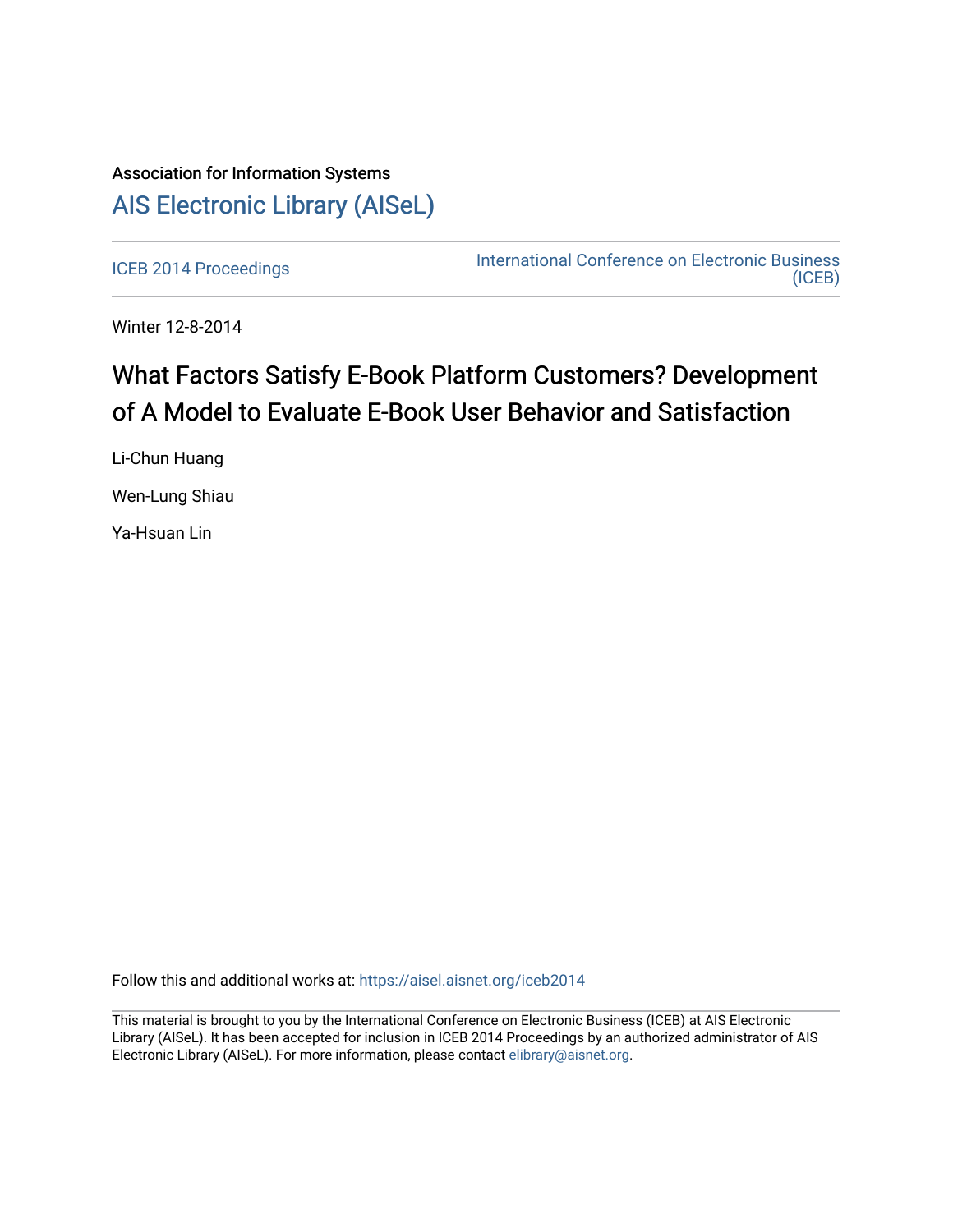## Association for Information Systems [AIS Electronic Library \(AISeL\)](https://aisel.aisnet.org/)

[ICEB 2014 Proceedings](https://aisel.aisnet.org/iceb2014) **International Conference on Electronic Business** [\(ICEB\)](https://aisel.aisnet.org/iceb) 

Winter 12-8-2014

## What Factors Satisfy E-Book Platform Customers? Development of A Model to Evaluate E-Book User Behavior and Satisfaction

Li-Chun Huang Wen-Lung Shiau

Ya-Hsuan Lin

Follow this and additional works at: [https://aisel.aisnet.org/iceb2014](https://aisel.aisnet.org/iceb2014?utm_source=aisel.aisnet.org%2Ficeb2014%2F3&utm_medium=PDF&utm_campaign=PDFCoverPages)

This material is brought to you by the International Conference on Electronic Business (ICEB) at AIS Electronic Library (AISeL). It has been accepted for inclusion in ICEB 2014 Proceedings by an authorized administrator of AIS Electronic Library (AISeL). For more information, please contact [elibrary@aisnet.org.](mailto:elibrary@aisnet.org%3E)